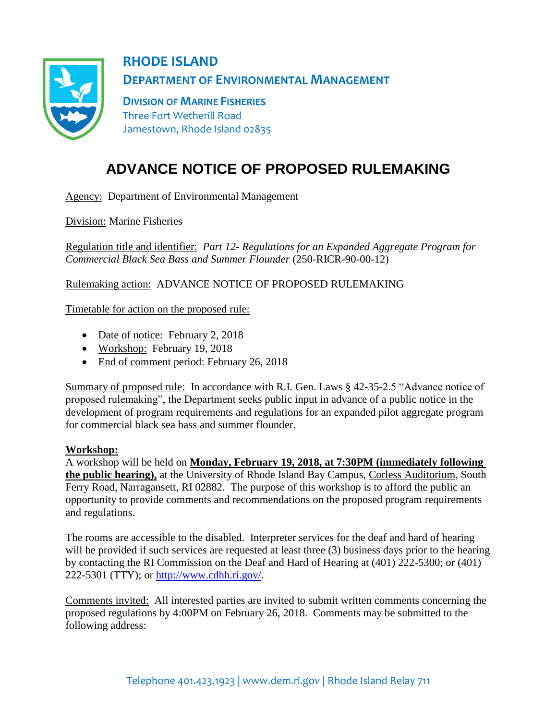

**RHODE ISLAND DEPARTMENT OF ENVIRONMENTAL MANAGEMENT**

**DIVISION OF MARINE FISHERIES** Three Fort Wetherill Road Jamestown, Rhode Island 02835

## **ADVANCE NOTICE OF PROPOSED RULEMAKING**

Agency: Department of Environmental Management

Division: Marine Fisheries

Regulation title and identifier: *Part 12- Regulations for an Expanded Aggregate Program for Commercial Black Sea Bass and Summer Flounder* (250-RICR-90-00-12)

Rulemaking action: ADVANCE NOTICE OF PROPOSED RULEMAKING

Timetable for action on the proposed rule:

- Date of notice: February 2, 2018
- Workshop: February 19, 2018
- End of comment period: February 26, 2018

Summary of proposed rule: In accordance with R.I. Gen. Laws § 42-35-2.5 "Advance notice of proposed rulemaking", the Department seeks public input in advance of a public notice in the development of program requirements and regulations for an expanded pilot aggregate program for commercial black sea bass and summer flounder.

## **Workshop:**

A workshop will be held on **Monday, February 19, 2018, at 7:30PM (immediately following the public hearing),** at the University of Rhode Island Bay Campus, Corless Auditorium, South Ferry Road, Narragansett, RI 02882. The purpose of this workshop is to afford the public an opportunity to provide comments and recommendations on the proposed program requirements and regulations.

The rooms are accessible to the disabled. Interpreter services for the deaf and hard of hearing will be provided if such services are requested at least three (3) business days prior to the hearing by contacting the RI Commission on the Deaf and Hard of Hearing at (401) 222-5300; or (401) 222-5301 (TTY); or [http://www.cdhh.ri.gov/.](http://www.cdhh.ri.gov/)

Comments invited: All interested parties are invited to submit written comments concerning the proposed regulations by 4:00PM on February 26, 2018. Comments may be submitted to the following address: